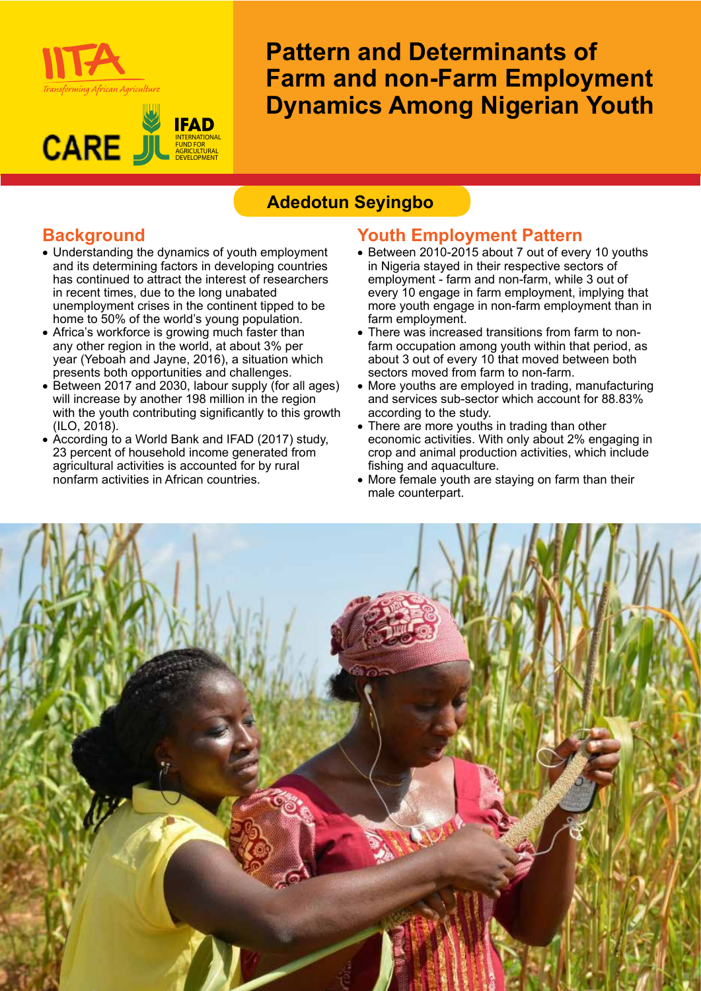

#### **IFAD CARE** J INTERNATIONAL FUND FOR AGRICULTURAL **DEVELOPMENT**

# **Pattern and Determinants of Farm and non-Farm Employment Dynamics Among Nigerian Youth**

# **Adedotun Seyingbo**

# **Background**

- Understanding the dynamics of youth employment and its determining factors in developing countries has continued to attract the interest of researchers in recent times, due to the long unabated unemployment crises in the continent tipped to be home to 50% of the world's young population.
- Africa's workforce is growing much faster than any other region in the world, at about 3% per year (Yeboah and Jayne, 2016), a situation which presents both opportunities and challenges.
- Between 2017 and 2030, labour supply (for all ages) will increase by another 198 million in the region with the youth contributing significantly to this growth (ILO, 2018).
- According to a World Bank and IFAD (2017) study, 23 percent of household income generated from agricultural activities is accounted for by rural nonfarm activities in African countries.

## **Youth Employment Pattern**

- Between 2010-2015 about 7 out of every 10 youths in Nigeria stayed in their respective sectors of employment - farm and non-farm, while 3 out of every 10 engage in farm employment, implying that more youth engage in non-farm employment than in farm employment.
- There was increased transitions from farm to nonfarm occupation among youth within that period, as about 3 out of every 10 that moved between both sectors moved from farm to non-farm.
- More youths are employed in trading, manufacturing and services sub-sector which account for 88.83% according to the study.
- There are more youths in trading than other economic activities. With only about 2% engaging in crop and animal production activities, which include fishing and aquaculture.
- More female youth are staying on farm than their male counterpart.